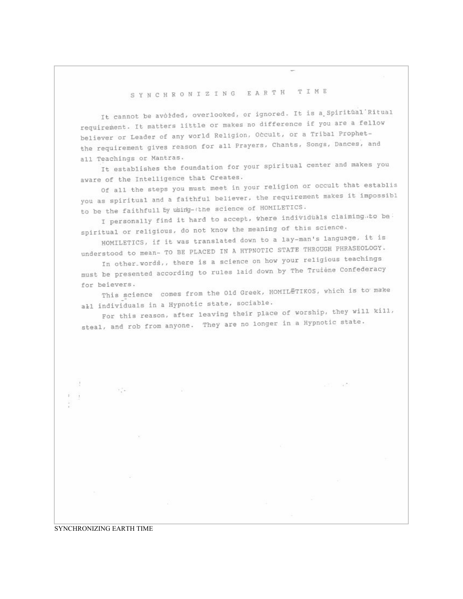## SYNCHRONIZING EARTH TIME

It cannot be avoided, overlooked, or ignored. It is a Spiritual Ritual requirement. It matters little or makes no difference if you are a fellow believer or Leader of any world Religion, Occult, or a Tribal Prophetthe requirement gives reason for all Prayers, Chants, Songs, Dances, and all Teachings or Mantras.

It establishes the foundation for your spiritual center and makes you aware of the Intelligence that Creates.

Of all the steps you must meet in your religion or occult that establis you as spiritual and a faithful believer, the requirement makes it impossibl to be the faithfull by using-the science of HOMILETICS.

I personally find it hard to accept, where individuals claiming.to be spiritual or religious, do not know the meaning of this science.

HOMILETICS, if it was translated down to a lay-man's language, it is understood to mean- TO BE PLACED IN A HYPNOTIC STATE THROUGH PHRASEOLOGY.

In other words,, there is a science on how your religious teachings must be presented according to rules laid down by The Truiène Confederacy for beievers.

This science comes from the 01d Greek, HOMILETIKOS, which is to make all individuals in a Hypnotic state, sociable.

For this reason, after leaving their place of worship, they will kill, steal, and rob from anyone. They are no longer in a Hypnotic state.

近日 国際

## SYNCHRONIZING EARTH TIME

84

 $\mathcal{F}^+_{\alpha}$